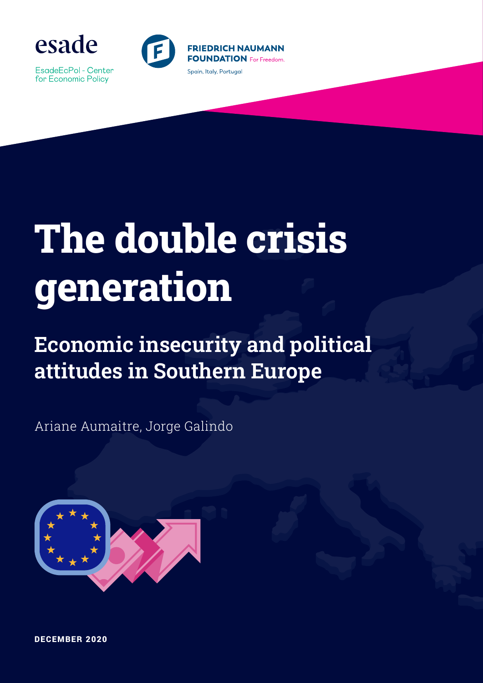

EsadeEcPol - Center for Economic Policy



# **The double crisis generation**

## **Economic insecurity and political attitudes in Southern Europe**

Ariane Aumaitre, Jorge Galindo



DECEMBER 2020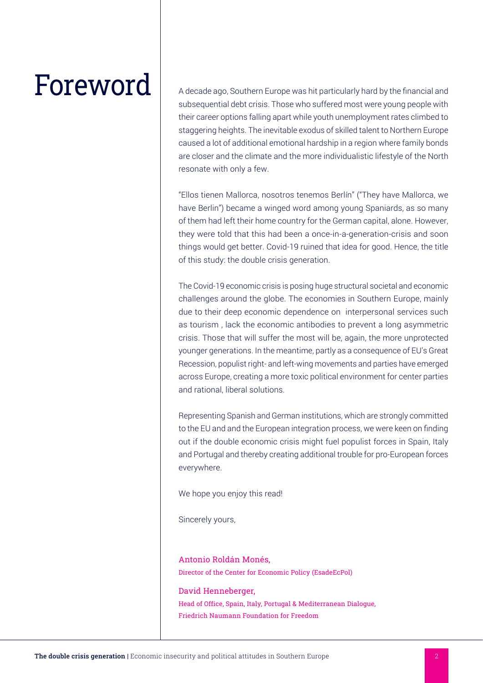Foreword A decade ago, Southern Europe was hit particularly hard by the financial and subsequential debt crisis. Those who suffered most were young people with their career options falling apart while youth unemployment rates climbed to staggering heights. The inevitable exodus of skilled talent to Northern Europe caused a lot of additional emotional hardship in a region where family bonds are closer and the climate and the more individualistic lifestyle of the North resonate with only a few.

> "Ellos tienen Mallorca, nosotros tenemos Berlín" ("They have Mallorca, we have Berlin") became a winged word among young Spaniards, as so many of them had left their home country for the German capital, alone. However, they were told that this had been a once-in-a-generation-crisis and soon things would get better. Covid-19 ruined that idea for good. Hence, the title of this study: the double crisis generation.

> The Covid-19 economic crisis is posing huge structural societal and economic challenges around the globe. The economies in Southern Europe, mainly due to their deep economic dependence on interpersonal services such as tourism , lack the economic antibodies to prevent a long asymmetric crisis. Those that will suffer the most will be, again, the more unprotected younger generations. In the meantime, partly as a consequence of EU's Great Recession, populist right- and left-wing movements and parties have emerged across Europe, creating a more toxic political environment for center parties and rational, liberal solutions.

> Representing Spanish and German institutions, which are strongly committed to the EU and and the European integration process, we were keen on finding out if the double economic crisis might fuel populist forces in Spain, Italy and Portugal and thereby creating additional trouble for pro-European forces everywhere.

We hope you enjoy this read!

Sincerely yours,

Antonio Roldán Monés, Director of the Center for Economic Policy (EsadeEcPol)

David Henneberger, Head of Office, Spain, Italy, Portugal & Mediterranean Dialogue, Friedrich Naumann Foundation for Freedom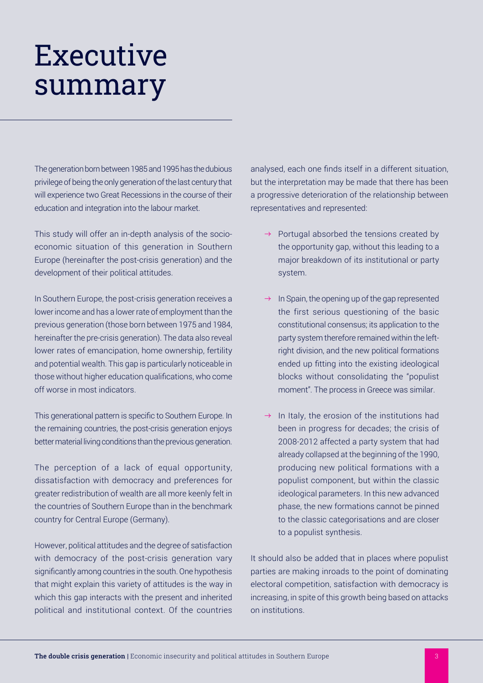## Executive summary

The generation born between 1985 and 1995 has the dubious privilege of being the only generation of the last century that will experience two Great Recessions in the course of their education and integration into the labour market.

This study will offer an in-depth analysis of the socioeconomic situation of this generation in Southern Europe (hereinafter the post-crisis generation) and the development of their political attitudes.

In Southern Europe, the post-crisis generation receives a lower income and has a lower rate of employment than the previous generation (those born between 1975 and 1984, hereinafter the pre-crisis generation). The data also reveal lower rates of emancipation, home ownership, fertility and potential wealth. This gap is particularly noticeable in those without higher education qualifications, who come off worse in most indicators.

This generational pattern is specific to Southern Europe. In the remaining countries, the post-crisis generation enjoys better material living conditions than the previous generation.

The perception of a lack of equal opportunity, dissatisfaction with democracy and preferences for greater redistribution of wealth are all more keenly felt in the countries of Southern Europe than in the benchmark country for Central Europe (Germany).

However, political attitudes and the degree of satisfaction with democracy of the post-crisis generation vary significantly among countries in the south. One hypothesis that might explain this variety of attitudes is the way in which this gap interacts with the present and inherited political and institutional context. Of the countries analysed, each one finds itself in a different situation, but the interpretation may be made that there has been a progressive deterioration of the relationship between representatives and represented:

- $\rightarrow$  Portugal absorbed the tensions created by the opportunity gap, without this leading to a major breakdown of its institutional or party system.
- $\rightarrow$  In Spain, the opening up of the gap represented the first serious questioning of the basic constitutional consensus; its application to the party system therefore remained within the leftright division, and the new political formations ended up fitting into the existing ideological blocks without consolidating the "populist moment". The process in Greece was similar.
- $\rightarrow$  In Italy, the erosion of the institutions had been in progress for decades; the crisis of 2008-2012 affected a party system that had already collapsed at the beginning of the 1990, producing new political formations with a populist component, but within the classic ideological parameters. In this new advanced phase, the new formations cannot be pinned to the classic categorisations and are closer to a populist synthesis.

It should also be added that in places where populist parties are making inroads to the point of dominating electoral competition, satisfaction with democracy is increasing, in spite of this growth being based on attacks on institutions.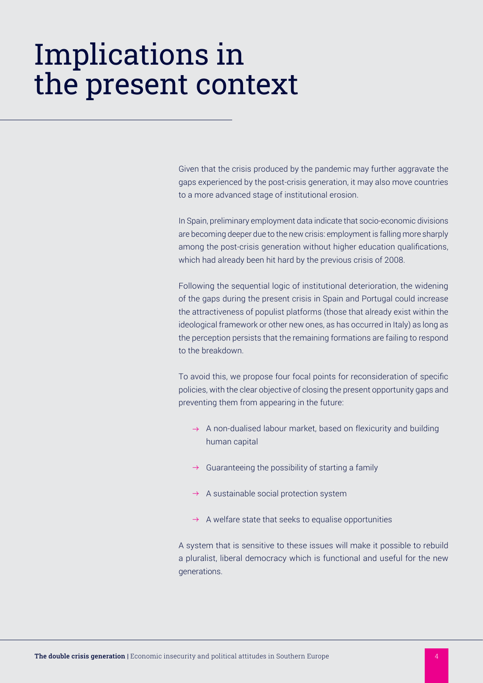## Implications in the present context

Given that the crisis produced by the pandemic may further aggravate the gaps experienced by the post-crisis generation, it may also move countries to a more advanced stage of institutional erosion.

In Spain, preliminary employment data indicate that socio-economic divisions are becoming deeper due to the new crisis: employment is falling more sharply among the post-crisis generation without higher education qualifications, which had already been hit hard by the previous crisis of 2008.

Following the sequential logic of institutional deterioration, the widening of the gaps during the present crisis in Spain and Portugal could increase the attractiveness of populist platforms (those that already exist within the ideological framework or other new ones, as has occurred in Italy) as long as the perception persists that the remaining formations are failing to respond to the breakdown.

To avoid this, we propose four focal points for reconsideration of specific policies, with the clear objective of closing the present opportunity gaps and preventing them from appearing in the future:

- $\rightarrow$  A non-dualised labour market, based on flexicurity and building human capital
- $\rightarrow$  Guaranteeing the possibility of starting a family
- $\rightarrow$  A sustainable social protection system
- $\rightarrow$  A welfare state that seeks to equalise opportunities

A system that is sensitive to these issues will make it possible to rebuild a pluralist, liberal democracy which is functional and useful for the new generations.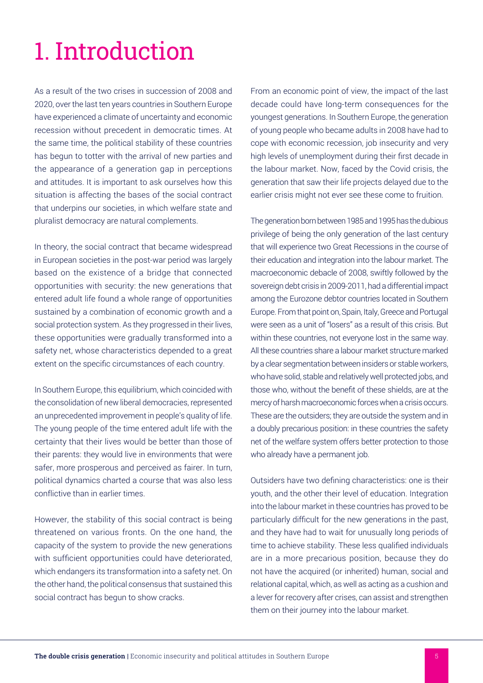## 1. Introduction

As a result of the two crises in succession of 2008 and 2020, over the last ten years countries in Southern Europe have experienced a climate of uncertainty and economic recession without precedent in democratic times. At the same time, the political stability of these countries has begun to totter with the arrival of new parties and the appearance of a generation gap in perceptions and attitudes. It is important to ask ourselves how this situation is affecting the bases of the social contract that underpins our societies, in which welfare state and pluralist democracy are natural complements.

In theory, the social contract that became widespread in European societies in the post-war period was largely based on the existence of a bridge that connected opportunities with security: the new generations that entered adult life found a whole range of opportunities sustained by a combination of economic growth and a social protection system. As they progressed in their lives, these opportunities were gradually transformed into a safety net, whose characteristics depended to a great extent on the specific circumstances of each country.

In Southern Europe, this equilibrium, which coincided with the consolidation of new liberal democracies, represented an unprecedented improvement in people's quality of life. The young people of the time entered adult life with the certainty that their lives would be better than those of their parents: they would live in environments that were safer, more prosperous and perceived as fairer. In turn, political dynamics charted a course that was also less conflictive than in earlier times.

However, the stability of this social contract is being threatened on various fronts. On the one hand, the capacity of the system to provide the new generations with sufficient opportunities could have deteriorated, which endangers its transformation into a safety net. On the other hand, the political consensus that sustained this social contract has begun to show cracks.

From an economic point of view, the impact of the last decade could have long-term consequences for the youngest generations. In Southern Europe, the generation of young people who became adults in 2008 have had to cope with economic recession, job insecurity and very high levels of unemployment during their first decade in the labour market. Now, faced by the Covid crisis, the generation that saw their life projects delayed due to the earlier crisis might not ever see these come to fruition.

The generation born between 1985 and 1995 has the dubious privilege of being the only generation of the last century that will experience two Great Recessions in the course of their education and integration into the labour market. The macroeconomic debacle of 2008, swiftly followed by the sovereign debt crisis in 2009-2011, had a differential impact among the Eurozone debtor countries located in Southern Europe. From that point on, Spain, Italy, Greece and Portugal were seen as a unit of "losers" as a result of this crisis. But within these countries, not everyone lost in the same way. All these countries share a labour market structure marked by a clear segmentation between insiders or stable workers, who have solid, stable and relatively well protected jobs, and those who, without the benefit of these shields, are at the mercy of harsh macroeconomic forces when a crisis occurs. These are the outsiders; they are outside the system and in a doubly precarious position: in these countries the safety net of the welfare system offers better protection to those who already have a permanent job.

Outsiders have two defining characteristics: one is their youth, and the other their level of education. Integration into the labour market in these countries has proved to be particularly difficult for the new generations in the past, and they have had to wait for unusually long periods of time to achieve stability. These less qualified individuals are in a more precarious position, because they do not have the acquired (or inherited) human, social and relational capital, which, as well as acting as a cushion and a lever for recovery after crises, can assist and strengthen them on their journey into the labour market.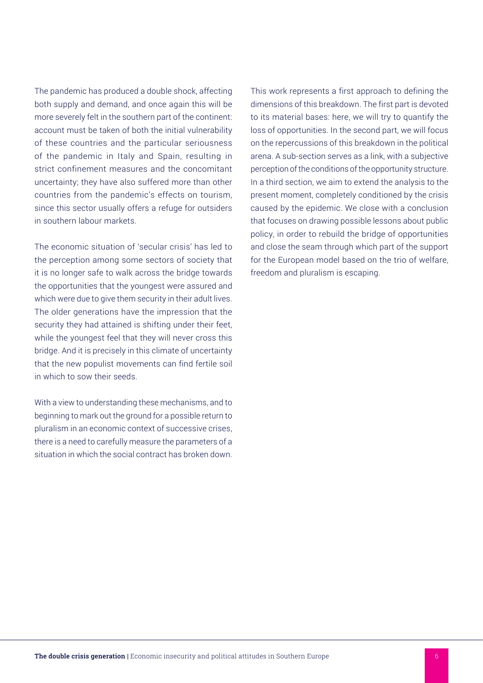The pandemic has produced a double shock, affecting both supply and demand, and once again this will be more severely felt in the southern part of the continent: account must be taken of both the initial vulnerability of these countries and the particular seriousness of the pandemic in Italy and Spain, resulting in strict confinement measures and the concomitant uncertainty; they have also suffered more than other countries from the pandemic's effects on tourism, since this sector usually offers a refuge for outsiders in southern labour markets.

The economic situation of 'secular crisis' has led to the perception among some sectors of society that it is no longer safe to walk across the bridge towards the opportunities that the youngest were assured and which were due to give them security in their adult lives. The older generations have the impression that the security they had attained is shifting under their feet, while the youngest feel that they will never cross this bridge. And it is precisely in this climate of uncertainty that the new populist movements can find fertile soil in which to sow their seeds.

With a view to understanding these mechanisms, and to beginning to mark out the ground for a possible return to pluralism in an economic context of successive crises, there is a need to carefully measure the parameters of a situation in which the social contract has broken down. This work represents a first approach to defining the dimensions of this breakdown. The first part is devoted to its material bases: here, we will try to quantify the loss of opportunities. In the second part, we will focus on the repercussions of this breakdown in the political arena. A sub-section serves as a link, with a subjective perception of the conditions of the opportunity structure. In a third section, we aim to extend the analysis to the present moment, completely conditioned by the crisis caused by the epidemic. We close with a conclusion that focuses on drawing possible lessons about public policy, in order to rebuild the bridge of opportunities and close the seam through which part of the support for the European model based on the trio of welfare, freedom and pluralism is escaping.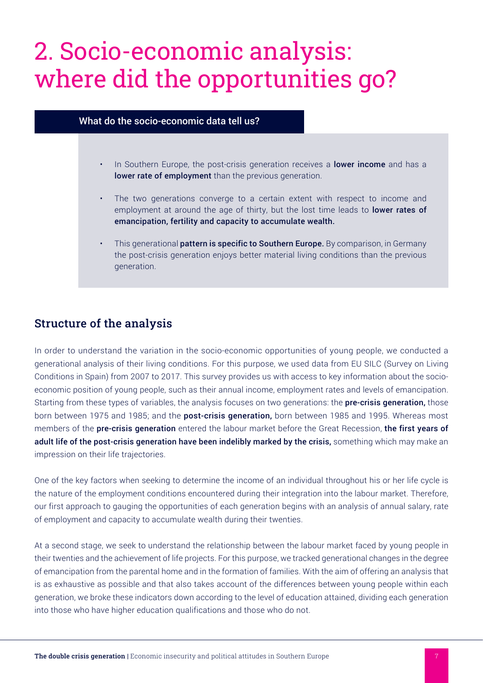## 2. Socio-economic analysis: where did the opportunities go?

### What do the socio-economic data tell us?

- In Southern Europe, the post-crisis generation receives a lower income and has a lower rate of employment than the previous generation.
- The two generations converge to a certain extent with respect to income and employment at around the age of thirty, but the lost time leads to lower rates of emancipation, fertility and capacity to accumulate wealth.
- This generational pattern is specific to Southern Europe. By comparison, in Germany the post-crisis generation enjoys better material living conditions than the previous generation.

### Structure of the analysis

In order to understand the variation in the socio-economic opportunities of young people, we conducted a generational analysis of their living conditions. For this purpose, we used data from EU SILC (Survey on Living Conditions in Spain) from 2007 to 2017. This survey provides us with access to key information about the socioeconomic position of young people, such as their annual income, employment rates and levels of emancipation. Starting from these types of variables, the analysis focuses on two generations: the **pre-crisis generation**, those born between 1975 and 1985; and the post-crisis generation, born between 1985 and 1995. Whereas most members of the pre-crisis generation entered the labour market before the Great Recession, the first years of adult life of the post-crisis generation have been indelibly marked by the crisis, something which may make an impression on their life trajectories.

One of the key factors when seeking to determine the income of an individual throughout his or her life cycle is the nature of the employment conditions encountered during their integration into the labour market. Therefore, our first approach to gauging the opportunities of each generation begins with an analysis of annual salary, rate of employment and capacity to accumulate wealth during their twenties.

At a second stage, we seek to understand the relationship between the labour market faced by young people in their twenties and the achievement of life projects. For this purpose, we tracked generational changes in the degree of emancipation from the parental home and in the formation of families. With the aim of offering an analysis that is as exhaustive as possible and that also takes account of the differences between young people within each generation, we broke these indicators down according to the level of education attained, dividing each generation into those who have higher education qualifications and those who do not.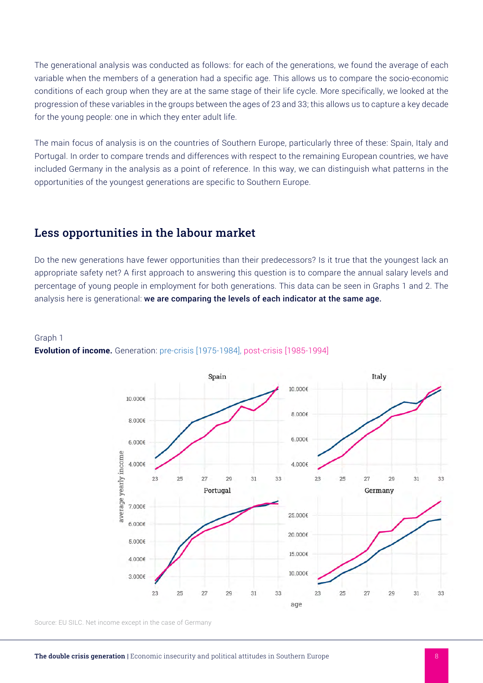The generational analysis was conducted as follows: for each of the generations, we found the average of each variable when the members of a generation had a specific age. This allows us to compare the socio-economic conditions of each group when they are at the same stage of their life cycle. More specifically, we looked at the progression of these variables in the groups between the ages of 23 and 33; this allows us to capture a key decade for the young people: one in which they enter adult life.

The main focus of analysis is on the countries of Southern Europe, particularly three of these: Spain, Italy and Portugal. In order to compare trends and differences with respect to the remaining European countries, we have included Germany in the analysis as a point of reference. In this way, we can distinguish what patterns in the opportunities of the youngest generations are specific to Southern Europe.

## Less opportunities in the labour market

Do the new generations have fewer opportunities than their predecessors? Is it true that the youngest lack an appropriate safety net? A first approach to answering this question is to compare the annual salary levels and percentage of young people in employment for both generations. This data can be seen in Graphs 1 and 2. The analysis here is generational: we are comparing the levels of each indicator at the same age.

#### Graph 1



#### **Evolution of income.** Generation: pre-crisis [1975-1984], post-crisis [1985-1994]

Source: EU SILC. Net income except in the case of Germany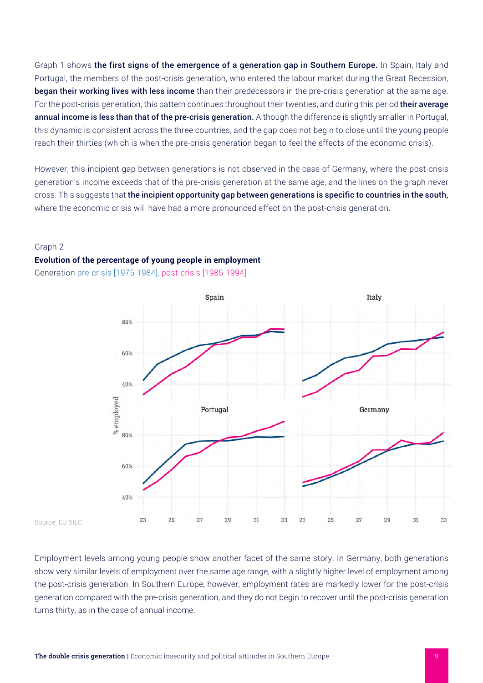Graph 1 shows the first signs of the emergence of a generation gap in Southern Europe. In Spain, Italy and Portugal, the members of the post-crisis generation, who entered the labour market during the Great Recession, began their working lives with less income than their predecessors in the pre-crisis generation at the same age. For the post-crisis generation, this pattern continues throughout their twenties, and during this period their average annual income is less than that of the pre-crisis generation. Although the difference is slightly smaller in Portugal, this dynamic is consistent across the three countries, and the gap does not begin to close until the young people reach their thirties (which is when the pre-crisis generation began to feel the effects of the economic crisis).

However, this incipient gap between generations is not observed in the case of Germany, where the post-crisis generation's income exceeds that of the pre-crisis generation at the same age, and the lines on the graph never cross. This suggests that the incipient opportunity gap between generations is specific to countries in the south, where the economic crisis will have had a more pronounced effect on the post-crisis generation.

#### Graph 2

#### **Evolution of the percentage of young people in employment**

Generation pre-crisis [1975-1984], post-crisis [1985-1994]



Source: EU SILC

Employment levels among young people show another facet of the same story. In Germany, both generations show very similar levels of employment over the same age range, with a slightly higher level of employment among the post-crisis generation. In Southern Europe, however, employment rates are markedly lower for the post-crisis generation compared with the pre-crisis generation, and they do not begin to recover until the post-crisis generation turns thirty, as in the case of annual income.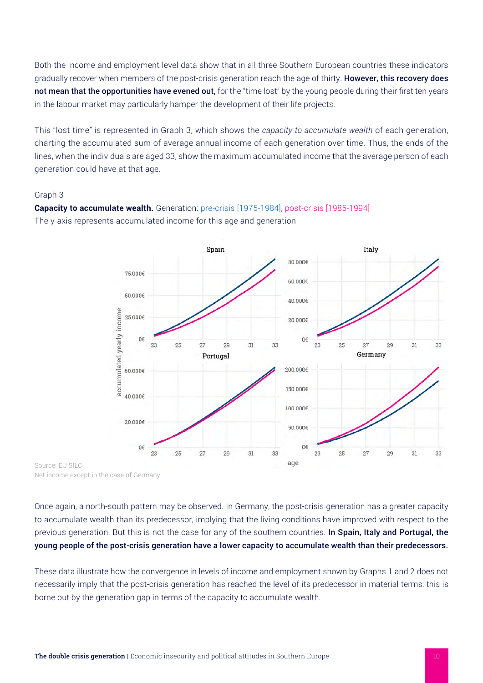Both the income and employment level data show that in all three Southern European countries these indicators gradually recover when members of the post-crisis generation reach the age of thirty. However, this recovery does not mean that the opportunities have evened out, for the "time lost" by the young people during their first ten years in the labour market may particularly hamper the development of their life projects.

This "lost time" is represented in Graph 3, which shows the *capacity to accumulate wealth* of each generation, charting the accumulated sum of average annual income of each generation over time. Thus, the ends of the lines, when the individuals are aged 33, show the maximum accumulated income that the average person of each generation could have at that age.

#### Graph 3



**Capacity to accumulate wealth.** Generation: pre-crisis [1975-1984], post-crisis [1985-1994] The y-axis represents accumulated income for this age and generation

Source: EU SILC. Net income except in the case of Germany

Once again, a north-south pattern may be observed. In Germany, the post-crisis generation has a greater capacity to accumulate wealth than its predecessor, implying that the living conditions have improved with respect to the previous generation. But this is not the case for any of the southern countries. In Spain, Italy and Portugal, the young people of the post-crisis generation have a lower capacity to accumulate wealth than their predecessors.

These data illustrate how the convergence in levels of income and employment shown by Graphs 1 and 2 does not necessarily imply that the post-crisis generation has reached the level of its predecessor in material terms: this is borne out by the generation gap in terms of the capacity to accumulate wealth.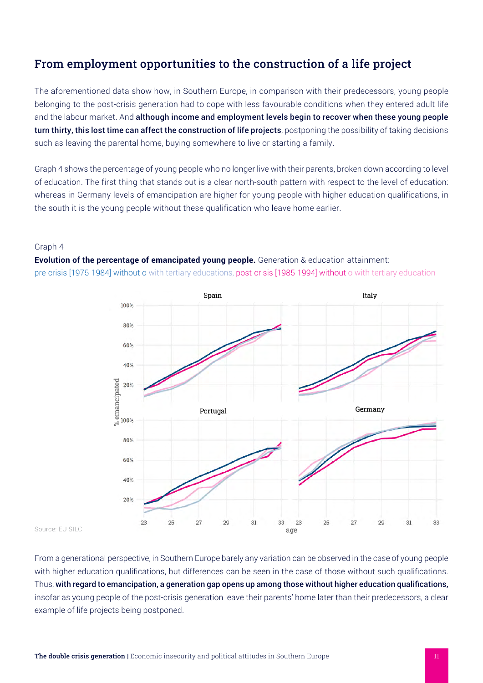## From employment opportunities to the construction of a life project

The aforementioned data show how, in Southern Europe, in comparison with their predecessors, young people belonging to the post-crisis generation had to cope with less favourable conditions when they entered adult life and the labour market. And although income and employment levels begin to recover when these young people turn thirty, this lost time can affect the construction of life projects, postponing the possibility of taking decisions such as leaving the parental home, buying somewhere to live or starting a family.

Graph 4 shows the percentage of young people who no longer live with their parents, broken down according to level of education. The first thing that stands out is a clear north-south pattern with respect to the level of education: whereas in Germany levels of emancipation are higher for young people with higher education qualifications, in the south it is the young people without these qualification who leave home earlier.

#### Graph 4

**Evolution of the percentage of emancipated young people.** Generation & education attainment: pre-crisis [1975-1984] without o with tertiary educations, post-crisis [1985-1994] without o with tertiary education



Source: EU SILC

From a generational perspective, in Southern Europe barely any variation can be observed in the case of young people with higher education qualifications, but differences can be seen in the case of those without such qualifications. Thus, with regard to emancipation, a generation gap opens up among those without higher education qualifications, insofar as young people of the post-crisis generation leave their parents' home later than their predecessors, a clear example of life projects being postponed.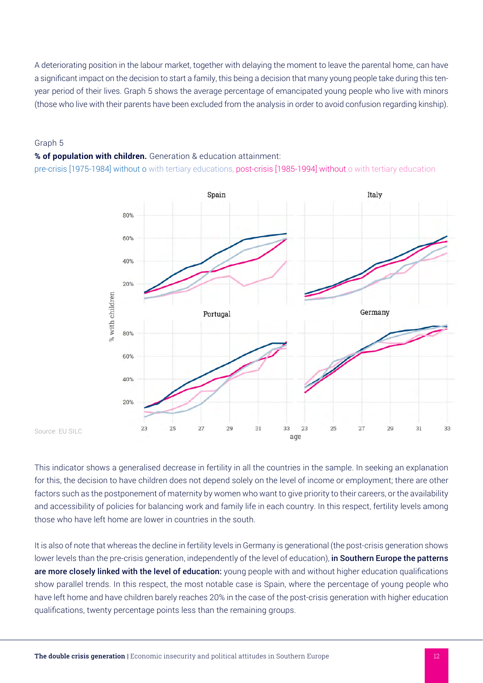A deteriorating position in the labour market, together with delaying the moment to leave the parental home, can have a significant impact on the decision to start a family, this being a decision that many young people take during this tenyear period of their lives. Graph 5 shows the average percentage of emancipated young people who live with minors (those who live with their parents have been excluded from the analysis in order to avoid confusion regarding kinship).

#### Graph 5

#### **% of population with children.** Generation & education attainment:

pre-crisis [1975-1984] without o with tertiary educations, post-crisis [1985-1994] without o with tertiary education



#### Source: EU SILC

This indicator shows a generalised decrease in fertility in all the countries in the sample. In seeking an explanation for this, the decision to have children does not depend solely on the level of income or employment; there are other factors such as the postponement of maternity by women who want to give priority to their careers, or the availability and accessibility of policies for balancing work and family life in each country. In this respect, fertility levels among those who have left home are lower in countries in the south.

It is also of note that whereas the decline in fertility levels in Germany is generational (the post-crisis generation shows lower levels than the pre-crisis generation, independently of the level of education), in Southern Europe the patterns are more closely linked with the level of education: young people with and without higher education qualifications show parallel trends. In this respect, the most notable case is Spain, where the percentage of young people who have left home and have children barely reaches 20% in the case of the post-crisis generation with higher education qualifications, twenty percentage points less than the remaining groups.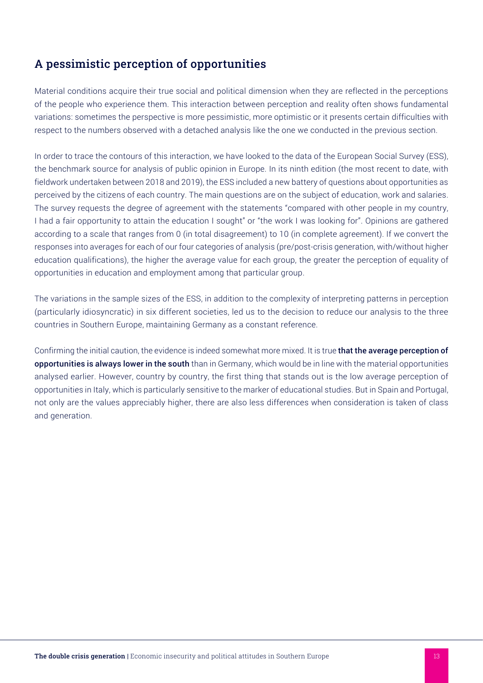## A pessimistic perception of opportunities

Material conditions acquire their true social and political dimension when they are reflected in the perceptions of the people who experience them. This interaction between perception and reality often shows fundamental variations: sometimes the perspective is more pessimistic, more optimistic or it presents certain difficulties with respect to the numbers observed with a detached analysis like the one we conducted in the previous section.

In order to trace the contours of this interaction, we have looked to the data of the European Social Survey (ESS), the benchmark source for analysis of public opinion in Europe. In its ninth edition (the most recent to date, with fieldwork undertaken between 2018 and 2019), the ESS included a new battery of questions about opportunities as perceived by the citizens of each country. The main questions are on the subject of education, work and salaries. The survey requests the degree of agreement with the statements "compared with other people in my country, I had a fair opportunity to attain the education I sought" or "the work I was looking for". Opinions are gathered according to a scale that ranges from 0 (in total disagreement) to 10 (in complete agreement). If we convert the responses into averages for each of our four categories of analysis (pre/post-crisis generation, with/without higher education qualifications), the higher the average value for each group, the greater the perception of equality of opportunities in education and employment among that particular group.

The variations in the sample sizes of the ESS, in addition to the complexity of interpreting patterns in perception (particularly idiosyncratic) in six different societies, led us to the decision to reduce our analysis to the three countries in Southern Europe, maintaining Germany as a constant reference.

Confirming the initial caution, the evidence is indeed somewhat more mixed. It is true that the average perception of opportunities is always lower in the south than in Germany, which would be in line with the material opportunities analysed earlier. However, country by country, the first thing that stands out is the low average perception of opportunities in Italy, which is particularly sensitive to the marker of educational studies. But in Spain and Portugal, not only are the values appreciably higher, there are also less differences when consideration is taken of class and generation.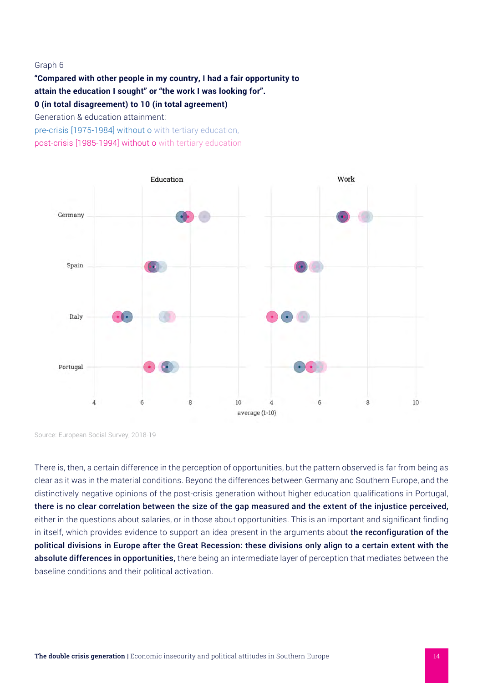#### Graph 6

**"Compared with other people in my country, I had a fair opportunity to attain the education I sought" or "the work I was looking for". 0 (in total disagreement) to 10 (in total agreement)** Generation & education attainment:

pre-crisis [1975-1984] without o with tertiary education, post-crisis [1985-1994] without o with tertiary education



Source: European Social Survey, 2018-19

There is, then, a certain difference in the perception of opportunities, but the pattern observed is far from being as clear as it was in the material conditions. Beyond the differences between Germany and Southern Europe, and the distinctively negative opinions of the post-crisis generation without higher education qualifications in Portugal, there is no clear correlation between the size of the gap measured and the extent of the injustice perceived, either in the questions about salaries, or in those about opportunities. This is an important and significant finding in itself, which provides evidence to support an idea present in the arguments about the reconfiguration of the political divisions in Europe after the Great Recession: these divisions only align to a certain extent with the absolute differences in opportunities, there being an intermediate layer of perception that mediates between the baseline conditions and their political activation.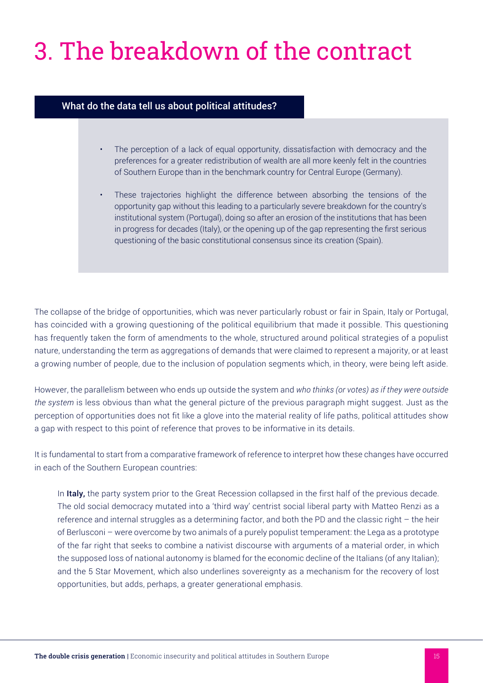## 3. The breakdown of the contract

#### What do the data tell us about political attitudes?

- The perception of a lack of equal opportunity, dissatisfaction with democracy and the preferences for a greater redistribution of wealth are all more keenly felt in the countries of Southern Europe than in the benchmark country for Central Europe (Germany).
- These trajectories highlight the difference between absorbing the tensions of the opportunity gap without this leading to a particularly severe breakdown for the country's institutional system (Portugal), doing so after an erosion of the institutions that has been in progress for decades (Italy), or the opening up of the gap representing the first serious questioning of the basic constitutional consensus since its creation (Spain).

The collapse of the bridge of opportunities, which was never particularly robust or fair in Spain, Italy or Portugal, has coincided with a growing questioning of the political equilibrium that made it possible. This questioning has frequently taken the form of amendments to the whole, structured around political strategies of a populist nature, understanding the term as aggregations of demands that were claimed to represent a majority, or at least a growing number of people, due to the inclusion of population segments which, in theory, were being left aside.

However, the parallelism between who ends up outside the system and *who thinks (or votes) as if they were outside the system* is less obvious than what the general picture of the previous paragraph might suggest. Just as the perception of opportunities does not fit like a glove into the material reality of life paths, political attitudes show a gap with respect to this point of reference that proves to be informative in its details.

It is fundamental to start from a comparative framework of reference to interpret how these changes have occurred in each of the Southern European countries:

In Italy, the party system prior to the Great Recession collapsed in the first half of the previous decade. The old social democracy mutated into a 'third way' centrist social liberal party with Matteo Renzi as a reference and internal struggles as a determining factor, and both the PD and the classic right – the heir of Berlusconi – were overcome by two animals of a purely populist temperament: the Lega as a prototype of the far right that seeks to combine a nativist discourse with arguments of a material order, in which the supposed loss of national autonomy is blamed for the economic decline of the Italians (of any Italian); and the 5 Star Movement, which also underlines sovereignty as a mechanism for the recovery of lost opportunities, but adds, perhaps, a greater generational emphasis.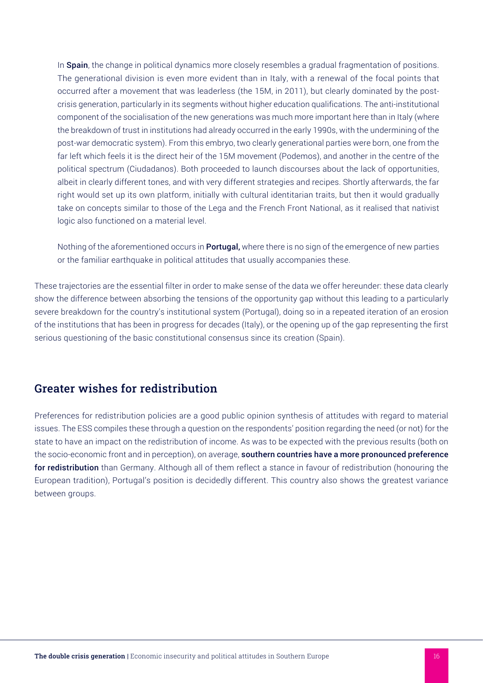In Spain, the change in political dynamics more closely resembles a gradual fragmentation of positions. The generational division is even more evident than in Italy, with a renewal of the focal points that occurred after a movement that was leaderless (the 15M, in 2011), but clearly dominated by the postcrisis generation, particularly in its segments without higher education qualifications. The anti-institutional component of the socialisation of the new generations was much more important here than in Italy (where the breakdown of trust in institutions had already occurred in the early 1990s, with the undermining of the post-war democratic system). From this embryo, two clearly generational parties were born, one from the far left which feels it is the direct heir of the 15M movement (Podemos), and another in the centre of the political spectrum (Ciudadanos). Both proceeded to launch discourses about the lack of opportunities, albeit in clearly different tones, and with very different strategies and recipes. Shortly afterwards, the far right would set up its own platform, initially with cultural identitarian traits, but then it would gradually take on concepts similar to those of the Lega and the French Front National, as it realised that nativist logic also functioned on a material level.

Nothing of the aforementioned occurs in **Portugal**, where there is no sign of the emergence of new parties or the familiar earthquake in political attitudes that usually accompanies these.

These trajectories are the essential filter in order to make sense of the data we offer hereunder: these data clearly show the difference between absorbing the tensions of the opportunity gap without this leading to a particularly severe breakdown for the country's institutional system (Portugal), doing so in a repeated iteration of an erosion of the institutions that has been in progress for decades (Italy), or the opening up of the gap representing the first serious questioning of the basic constitutional consensus since its creation (Spain).

## Greater wishes for redistribution

Preferences for redistribution policies are a good public opinion synthesis of attitudes with regard to material issues. The ESS compiles these through a question on the respondents' position regarding the need (or not) for the state to have an impact on the redistribution of income. As was to be expected with the previous results (both on the socio-economic front and in perception), on average, **southern countries have a more pronounced preference** for redistribution than Germany. Although all of them reflect a stance in favour of redistribution (honouring the European tradition), Portugal's position is decidedly different. This country also shows the greatest variance between groups.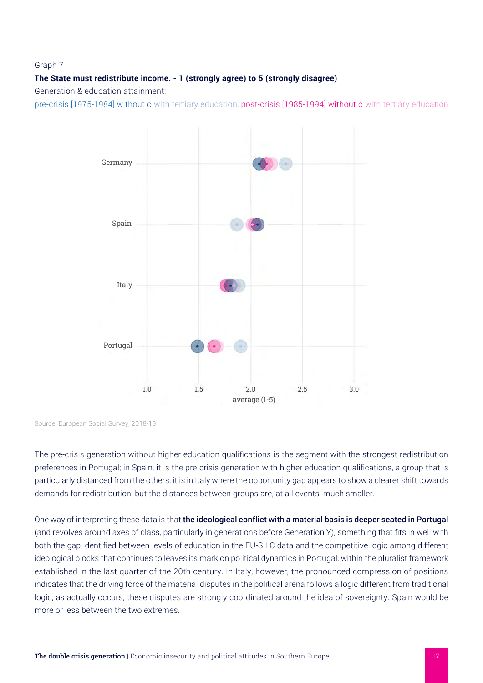#### Graph 7

#### **The State must redistribute income. - 1 (strongly agree) to 5 (strongly disagree)**

Generation & education attainment:

pre-crisis [1975-1984] without o with tertiary education, post-crisis [1985-1994] without o with tertiary education



Source: European Social Survey, 2018-19

The pre-crisis generation without higher education qualifications is the segment with the strongest redistribution preferences in Portugal; in Spain, it is the pre-crisis generation with higher education qualifications, a group that is particularly distanced from the others; it is in Italy where the opportunity gap appears to show a clearer shift towards demands for redistribution, but the distances between groups are, at all events, much smaller.

One way of interpreting these data is that the ideological conflict with a material basis is deeper seated in Portugal (and revolves around axes of class, particularly in generations before Generation Y), something that fits in well with both the gap identified between levels of education in the EU-SILC data and the competitive logic among different ideological blocks that continues to leaves its mark on political dynamics in Portugal, within the pluralist framework established in the last quarter of the 20th century. In Italy, however, the pronounced compression of positions indicates that the driving force of the material disputes in the political arena follows a logic different from traditional logic, as actually occurs; these disputes are strongly coordinated around the idea of sovereignty. Spain would be more or less between the two extremes.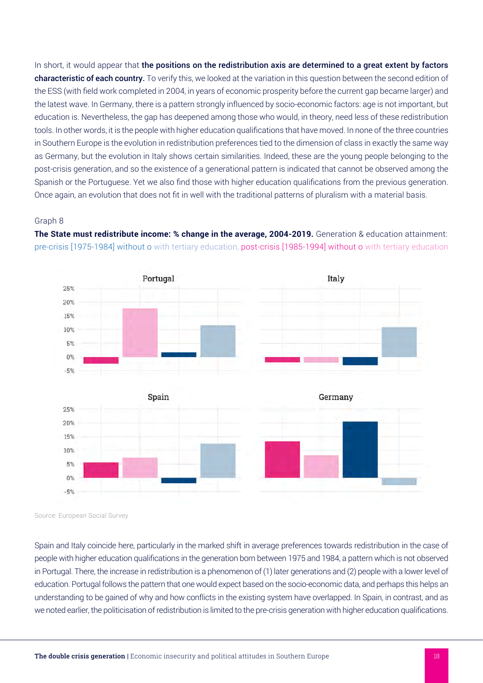In short, it would appear that the positions on the redistribution axis are determined to a great extent by factors characteristic of each country. To verify this, we looked at the variation in this question between the second edition of the ESS (with field work completed in 2004, in years of economic prosperity before the current gap became larger) and the latest wave. In Germany, there is a pattern strongly influenced by socio-economic factors: age is not important, but education is. Nevertheless, the gap has deepened among those who would, in theory, need less of these redistribution tools. In other words, it is the people with higher education qualifications that have moved. In none of the three countries in Southern Europe is the evolution in redistribution preferences tied to the dimension of class in exactly the same way as Germany, but the evolution in Italy shows certain similarities. Indeed, these are the young people belonging to the post-crisis generation, and so the existence of a generational pattern is indicated that cannot be observed among the Spanish or the Portuguese. Yet we also find those with higher education qualifications from the previous generation. Once again, an evolution that does not fit in well with the traditional patterns of pluralism with a material basis.

#### Graph 8

**The State must redistribute income: % change in the average, 2004-2019.** Generation & education attainment: pre-crisis [1975-1984] without o with tertiary education, post-crisis [1985-1994] without o with tertiary education



Source: European Social Survey

Spain and Italy coincide here, particularly in the marked shift in average preferences towards redistribution in the case of people with higher education qualifications in the generation born between 1975 and 1984, a pattern which is not observed in Portugal. There, the increase in redistribution is a phenomenon of (1) later generations and (2) people with a lower level of education. Portugal follows the pattern that one would expect based on the socio-economic data, and perhaps this helps an understanding to be gained of why and how conflicts in the existing system have overlapped. In Spain, in contrast, and as we noted earlier, the politicisation of redistribution is limited to the pre-crisis generation with higher education qualifications.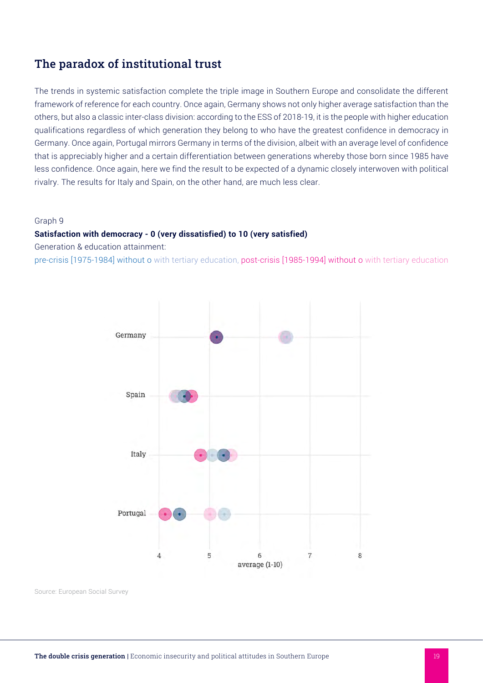## The paradox of institutional trust

The trends in systemic satisfaction complete the triple image in Southern Europe and consolidate the different framework of reference for each country. Once again, Germany shows not only higher average satisfaction than the others, but also a classic inter-class division: according to the ESS of 2018-19, it is the people with higher education qualifications regardless of which generation they belong to who have the greatest confidence in democracy in Germany. Once again, Portugal mirrors Germany in terms of the division, albeit with an average level of confidence that is appreciably higher and a certain differentiation between generations whereby those born since 1985 have less confidence. Once again, here we find the result to be expected of a dynamic closely interwoven with political rivalry. The results for Italy and Spain, on the other hand, are much less clear.

#### Graph 9

#### **Satisfaction with democracy - 0 (very dissatisfied) to 10 (very satisfied)**

Generation & education attainment:

pre-crisis [1975-1984] without o with tertiary education, post-crisis [1985-1994] without o with tertiary education



Source: European Social Survey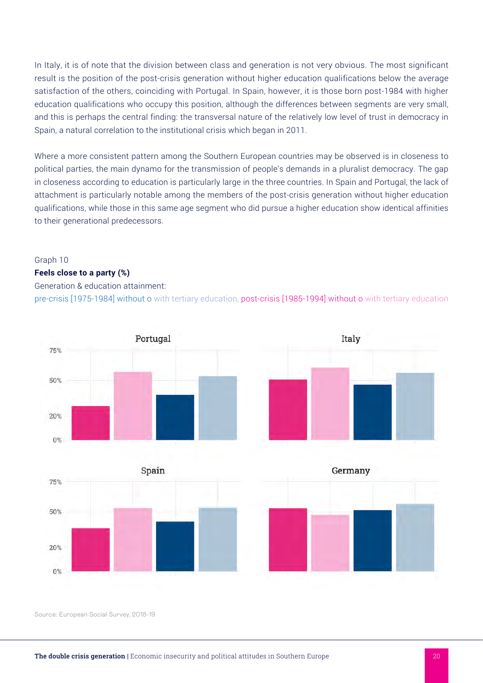In Italy, it is of note that the division between class and generation is not very obvious. The most significant result is the position of the post-crisis generation without higher education qualifications below the average satisfaction of the others, coinciding with Portugal. In Spain, however, it is those born post-1984 with higher education qualifications who occupy this position, although the differences between segments are very small, and this is perhaps the central finding: the transversal nature of the relatively low level of trust in democracy in Spain, a natural correlation to the institutional crisis which began in 2011.

Where a more consistent pattern among the Southern European countries may be observed is in closeness to political parties, the main dynamo for the transmission of people's demands in a pluralist democracy. The gap in closeness according to education is particularly large in the three countries. In Spain and Portugal, the lack of attachment is particularly notable among the members of the post-crisis generation without higher education qualifications, while those in this same age segment who did pursue a higher education show identical affinities to their generational predecessors.

#### Graph 10

#### **Feels close to a party (%)**

#### Generation & education attainment:

pre-crisis [1975-1984] without o with tertiary education, post-crisis [1985-1994] without o with tertiary education



Source: European Social Survey, 2018-19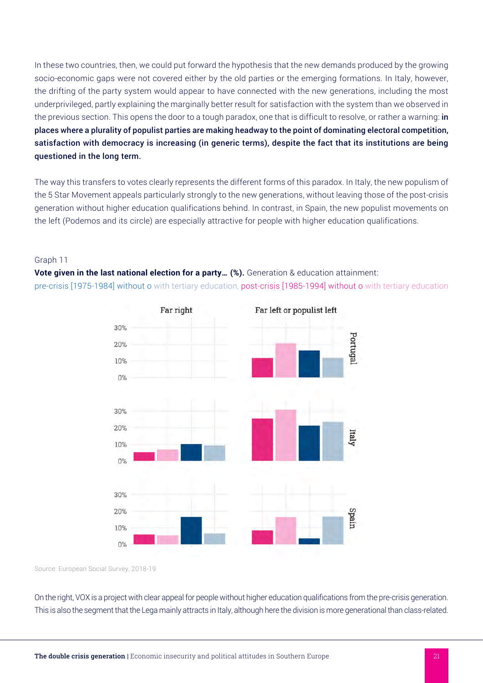In these two countries, then, we could put forward the hypothesis that the new demands produced by the growing socio-economic gaps were not covered either by the old parties or the emerging formations. In Italy, however, the drifting of the party system would appear to have connected with the new generations, including the most underprivileged, partly explaining the marginally better result for satisfaction with the system than we observed in the previous section. This opens the door to a tough paradox, one that is difficult to resolve, or rather a warning: in places where a plurality of populist parties are making headway to the point of dominating electoral competition, satisfaction with democracy is increasing (in generic terms), despite the fact that its institutions are being questioned in the long term.

The way this transfers to votes clearly represents the different forms of this paradox. In Italy, the new populism of the 5 Star Movement appeals particularly strongly to the new generations, without leaving those of the post-crisis generation without higher education qualifications behind. In contrast, in Spain, the new populist movements on the left (Podemos and its circle) are especially attractive for people with higher education qualifications.

#### Graph 11

**Vote given in the last national election for a party... (%).** Generation & education attainment: pre-crisis [1975-1984] without o with tertiary education, post-crisis [1985-1994] without o with tertiary education



Source: European Social Survey, 2018-19

On the right, VOX is a project with clear appeal for people without higher education qualifications from the pre-crisis generation. This is also the segment that the Lega mainly attracts in Italy, although here the division is more generational than class-related.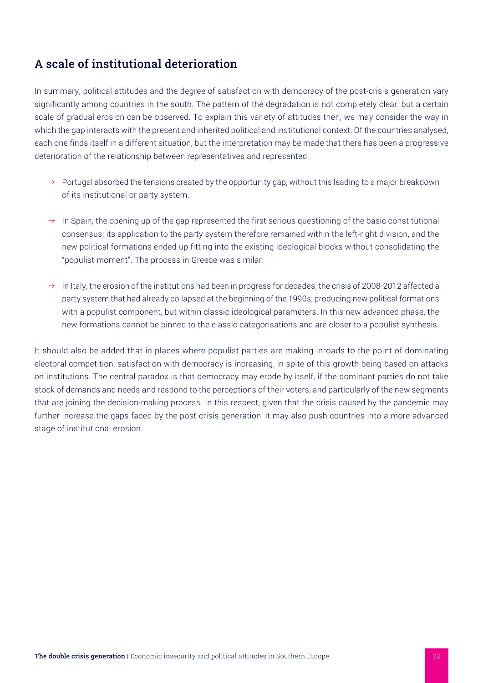## A scale of institutional deterioration

In summary, political attitudes and the degree of satisfaction with democracy of the post-crisis generation vary significantly among countries in the south. The pattern of the degradation is not completely clear, but a certain scale of gradual erosion can be observed. To explain this variety of attitudes then, we may consider the way in which the gap interacts with the present and inherited political and institutional context. Of the countries analysed, each one finds itself in a different situation, but the interpretation may be made that there has been a progressive deterioration of the relationship between representatives and represented:

- $\rightarrow$  Portugal absorbed the tensions created by the opportunity gap, without this leading to a major breakdown of its institutional or party system.
- $\rightarrow$  In Spain, the opening up of the gap represented the first serious questioning of the basic constitutional consensus; its application to the party system therefore remained within the left-right division, and the new political formations ended up fitting into the existing ideological blocks without consolidating the "populist moment". The process in Greece was similar.
- $\rightarrow$  In Italy, the erosion of the institutions had been in progress for decades; the crisis of 2008-2012 affected a party system that had already collapsed at the beginning of the 1990s, producing new political formations with a populist component, but within classic ideological parameters. In this new advanced phase, the new formations cannot be pinned to the classic categorisations and are closer to a populist synthesis.

It should also be added that in places where populist parties are making inroads to the point of dominating electoral competition, satisfaction with democracy is increasing, in spite of this growth being based on attacks on institutions. The central paradox is that democracy may erode by itself, if the dominant parties do not take stock of demands and needs and respond to the perceptions of their voters, and particularly of the new segments that are joining the decision-making process. In this respect, given that the crisis caused by the pandemic may further increase the gaps faced by the post-crisis generation, it may also push countries into a more advanced stage of institutional erosion.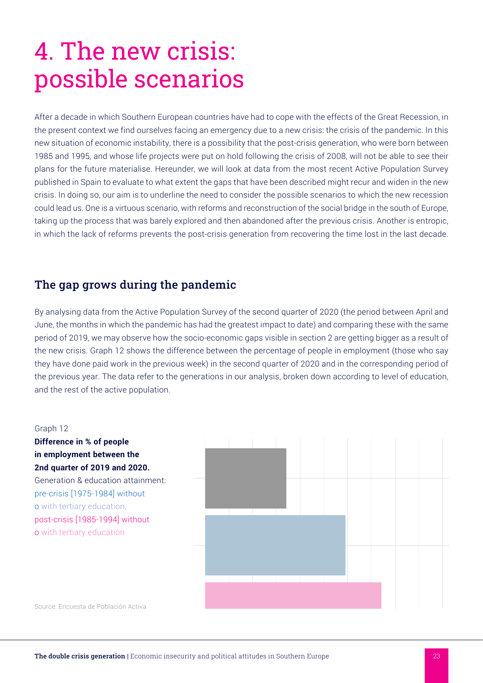## 4. The new crisis: possible scenarios

After a decade in which Southern European countries have had to cope with the effects of the Great Recession, in the present context we find ourselves facing an emergency due to a new crisis: the crisis of the pandemic. In this new situation of economic instability, there is a possibility that the post-crisis generation, who were born between 1985 and 1995, and whose life projects were put on hold following the crisis of 2008, will not be able to see their plans for the future materialise. Hereunder, we will look at data from the most recent Active Population Survey published in Spain to evaluate to what extent the gaps that have been described might recur and widen in the new crisis. In doing so, our aim is to underline the need to consider the possible scenarios to which the new recession could lead us. One is a virtuous scenario, with reforms and reconstruction of the social bridge in the south of Europe, taking up the process that was barely explored and then abandoned after the previous crisis. Another is entropic, in which the lack of reforms prevents the post-crisis generation from recovering the time lost in the last decade.

## The gap grows during the pandemic

By analysing data from the Active Population Survey of the second quarter of 2020 (the period between April and June, the months in which the pandemic has had the greatest impact to date) and comparing these with the same period of 2019, we may observe how the socio-economic gaps visible in section 2 are getting bigger as a result of the new crisis. Graph 12 shows the difference between the percentage of people in employment (those who say they have done paid work in the previous week) in the second quarter of 2020 and in the corresponding period of the previous year. The data refer to the generations in our analysis, broken down according to level of education, and the rest of the active population.

#### Graph 12

**Difference in % of people in employment between the 2nd quarter of 2019 and 2020.**  Generation & education attainment: pre-crisis [1975-1984] without o with tertiary education, post-crisis [1985-1994] without o with tertiary education



Source: Encuesta de Población Activa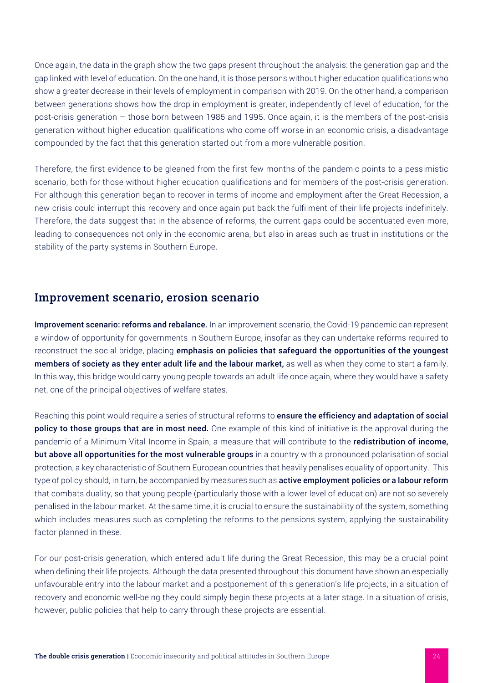Once again, the data in the graph show the two gaps present throughout the analysis: the generation gap and the gap linked with level of education. On the one hand, it is those persons without higher education qualifications who show a greater decrease in their levels of employment in comparison with 2019. On the other hand, a comparison between generations shows how the drop in employment is greater, independently of level of education, for the post-crisis generation – those born between 1985 and 1995. Once again, it is the members of the post-crisis generation without higher education qualifications who come off worse in an economic crisis, a disadvantage compounded by the fact that this generation started out from a more vulnerable position.

Therefore, the first evidence to be gleaned from the first few months of the pandemic points to a pessimistic scenario, both for those without higher education qualifications and for members of the post-crisis generation. For although this generation began to recover in terms of income and employment after the Great Recession, a new crisis could interrupt this recovery and once again put back the fulfilment of their life projects indefinitely. Therefore, the data suggest that in the absence of reforms, the current gaps could be accentuated even more, leading to consequences not only in the economic arena, but also in areas such as trust in institutions or the stability of the party systems in Southern Europe.

### Improvement scenario, erosion scenario

Improvement scenario: reforms and rebalance. In an improvement scenario, the Covid-19 pandemic can represent a window of opportunity for governments in Southern Europe, insofar as they can undertake reforms required to reconstruct the social bridge, placing emphasis on policies that safequard the opportunities of the youngest members of society as they enter adult life and the labour market, as well as when they come to start a family. In this way, this bridge would carry young people towards an adult life once again, where they would have a safety net, one of the principal objectives of welfare states.

Reaching this point would require a series of structural reforms to ensure the efficiency and adaptation of social policy to those groups that are in most need. One example of this kind of initiative is the approval during the pandemic of a Minimum Vital Income in Spain, a measure that will contribute to the **redistribution of income,** but above all opportunities for the most vulnerable groups in a country with a pronounced polarisation of social protection, a key characteristic of Southern European countries that heavily penalises equality of opportunity. This type of policy should, in turn, be accompanied by measures such as active employment policies or a labour reform that combats duality, so that young people (particularly those with a lower level of education) are not so severely penalised in the labour market. At the same time, it is crucial to ensure the sustainability of the system, something which includes measures such as completing the reforms to the pensions system, applying the sustainability factor planned in these.

For our post-crisis generation, which entered adult life during the Great Recession, this may be a crucial point when defining their life projects. Although the data presented throughout this document have shown an especially unfavourable entry into the labour market and a postponement of this generation's life projects, in a situation of recovery and economic well-being they could simply begin these projects at a later stage. In a situation of crisis, however, public policies that help to carry through these projects are essential.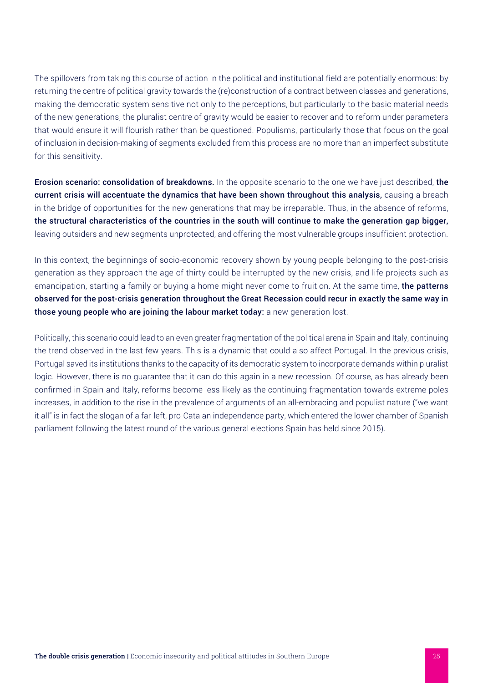The spillovers from taking this course of action in the political and institutional field are potentially enormous: by returning the centre of political gravity towards the (re)construction of a contract between classes and generations, making the democratic system sensitive not only to the perceptions, but particularly to the basic material needs of the new generations, the pluralist centre of gravity would be easier to recover and to reform under parameters that would ensure it will flourish rather than be questioned. Populisms, particularly those that focus on the goal of inclusion in decision-making of segments excluded from this process are no more than an imperfect substitute for this sensitivity.

Erosion scenario: consolidation of breakdowns. In the opposite scenario to the one we have just described, the current crisis will accentuate the dynamics that have been shown throughout this analysis, causing a breach in the bridge of opportunities for the new generations that may be irreparable. Thus, in the absence of reforms, the structural characteristics of the countries in the south will continue to make the generation gap bigger, leaving outsiders and new segments unprotected, and offering the most vulnerable groups insufficient protection.

In this context, the beginnings of socio-economic recovery shown by young people belonging to the post-crisis generation as they approach the age of thirty could be interrupted by the new crisis, and life projects such as emancipation, starting a family or buying a home might never come to fruition. At the same time, the patterns observed for the post-crisis generation throughout the Great Recession could recur in exactly the same way in those young people who are joining the labour market today: a new generation lost.

Politically, this scenario could lead to an even greater fragmentation of the political arena in Spain and Italy, continuing the trend observed in the last few years. This is a dynamic that could also affect Portugal. In the previous crisis, Portugal saved its institutions thanks to the capacity of its democratic system to incorporate demands within pluralist logic. However, there is no guarantee that it can do this again in a new recession. Of course, as has already been confirmed in Spain and Italy, reforms become less likely as the continuing fragmentation towards extreme poles increases, in addition to the rise in the prevalence of arguments of an all-embracing and populist nature ("we want it all" is in fact the slogan of a far-left, pro-Catalan independence party, which entered the lower chamber of Spanish parliament following the latest round of the various general elections Spain has held since 2015).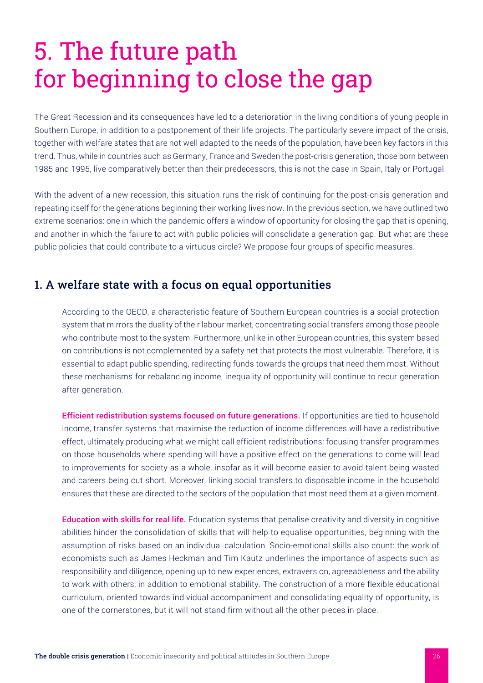## 5. The future path for beginning to close the gap

The Great Recession and its consequences have led to a deterioration in the living conditions of young people in Southern Europe, in addition to a postponement of their life projects. The particularly severe impact of the crisis, together with welfare states that are not well adapted to the needs of the population, have been key factors in this trend. Thus, while in countries such as Germany, France and Sweden the post-crisis generation, those born between 1985 and 1995, live comparatively better than their predecessors, this is not the case in Spain, Italy or Portugal.

With the advent of a new recession, this situation runs the risk of continuing for the post-crisis generation and repeating itself for the generations beginning their working lives now. In the previous section, we have outlined two extreme scenarios: one in which the pandemic offers a window of opportunity for closing the gap that is opening, and another in which the failure to act with public policies will consolidate a generation gap. But what are these public policies that could contribute to a virtuous circle? We propose four groups of specific measures.

## 1. A welfare state with a focus on equal opportunities

According to the OECD, a characteristic feature of Southern European countries is a social protection system that mirrors the duality of their labour market, concentrating social transfers among those people who contribute most to the system. Furthermore, unlike in other European countries, this system based on contributions is not complemented by a safety net that protects the most vulnerable. Therefore, it is essential to adapt public spending, redirecting funds towards the groups that need them most. Without these mechanisms for rebalancing income, inequality of opportunity will continue to recur generation after generation.

Efficient redistribution systems focused on future generations. If opportunities are tied to household income, transfer systems that maximise the reduction of income differences will have a redistributive effect, ultimately producing what we might call efficient redistributions: focusing transfer programmes on those households where spending will have a positive effect on the generations to come will lead to improvements for society as a whole, insofar as it will become easier to avoid talent being wasted and careers being cut short. Moreover, linking social transfers to disposable income in the household ensures that these are directed to the sectors of the population that most need them at a given moment.

Education with skills for real life. Education systems that penalise creativity and diversity in cognitive abilities hinder the consolidation of skills that will help to equalise opportunities, beginning with the assumption of risks based on an individual calculation. Socio-emotional skills also count: the work of economists such as James Heckman and Tim Kautz underlines the importance of aspects such as responsibility and diligence, opening up to new experiences, extraversion, agreeableness and the ability to work with others, in addition to emotional stability. The construction of a more flexible educational curriculum, oriented towards individual accompaniment and consolidating equality of opportunity, is one of the cornerstones, but it will not stand firm without all the other pieces in place.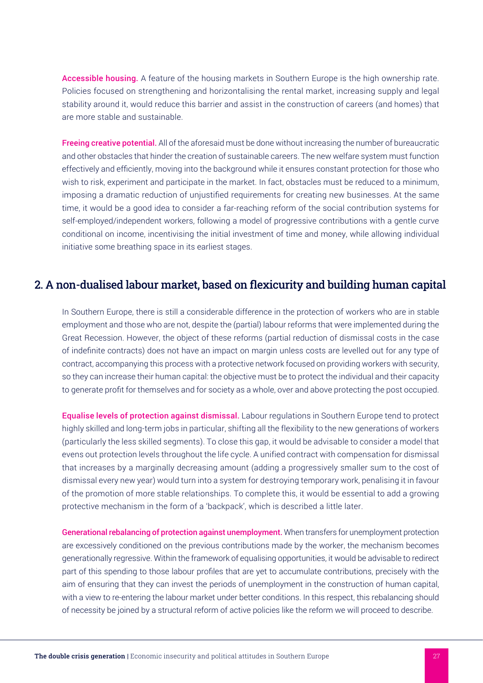Accessible housing. A feature of the housing markets in Southern Europe is the high ownership rate. Policies focused on strengthening and horizontalising the rental market, increasing supply and legal stability around it, would reduce this barrier and assist in the construction of careers (and homes) that are more stable and sustainable.

Freeing creative potential. All of the aforesaid must be done without increasing the number of bureaucratic and other obstacles that hinder the creation of sustainable careers. The new welfare system must function effectively and efficiently, moving into the background while it ensures constant protection for those who wish to risk, experiment and participate in the market. In fact, obstacles must be reduced to a minimum, imposing a dramatic reduction of unjustified requirements for creating new businesses. At the same time, it would be a good idea to consider a far-reaching reform of the social contribution systems for self-employed/independent workers, following a model of progressive contributions with a gentle curve conditional on income, incentivising the initial investment of time and money, while allowing individual initiative some breathing space in its earliest stages.

### 2. A non-dualised labour market, based on flexicurity and building human capital

In Southern Europe, there is still a considerable difference in the protection of workers who are in stable employment and those who are not, despite the (partial) labour reforms that were implemented during the Great Recession. However, the object of these reforms (partial reduction of dismissal costs in the case of indefinite contracts) does not have an impact on margin unless costs are levelled out for any type of contract, accompanying this process with a protective network focused on providing workers with security, so they can increase their human capital: the objective must be to protect the individual and their capacity to generate profit for themselves and for society as a whole, over and above protecting the post occupied.

Equalise levels of protection against dismissal. Labour regulations in Southern Europe tend to protect highly skilled and long-term jobs in particular, shifting all the flexibility to the new generations of workers (particularly the less skilled segments). To close this gap, it would be advisable to consider a model that evens out protection levels throughout the life cycle. A unified contract with compensation for dismissal that increases by a marginally decreasing amount (adding a progressively smaller sum to the cost of dismissal every new year) would turn into a system for destroying temporary work, penalising it in favour of the promotion of more stable relationships. To complete this, it would be essential to add a growing protective mechanism in the form of a 'backpack', which is described a little later.

Generational rebalancing of protection against unemployment. When transfers for unemployment protection are excessively conditioned on the previous contributions made by the worker, the mechanism becomes generationally regressive. Within the framework of equalising opportunities, it would be advisable to redirect part of this spending to those labour profiles that are yet to accumulate contributions, precisely with the aim of ensuring that they can invest the periods of unemployment in the construction of human capital, with a view to re-entering the labour market under better conditions. In this respect, this rebalancing should of necessity be joined by a structural reform of active policies like the reform we will proceed to describe.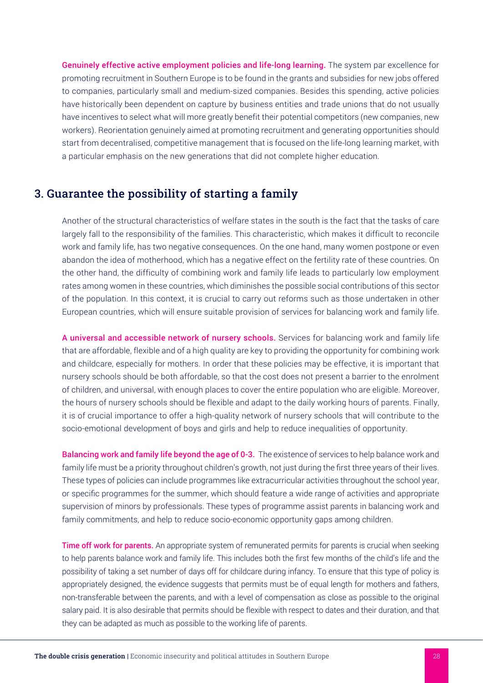Genuinely effective active employment policies and life-long learning. The system par excellence for promoting recruitment in Southern Europe is to be found in the grants and subsidies for new jobs offered to companies, particularly small and medium-sized companies. Besides this spending, active policies have historically been dependent on capture by business entities and trade unions that do not usually have incentives to select what will more greatly benefit their potential competitors (new companies, new workers). Reorientation genuinely aimed at promoting recruitment and generating opportunities should start from decentralised, competitive management that is focused on the life-long learning market, with a particular emphasis on the new generations that did not complete higher education.

### 3. Guarantee the possibility of starting a family

Another of the structural characteristics of welfare states in the south is the fact that the tasks of care largely fall to the responsibility of the families. This characteristic, which makes it difficult to reconcile work and family life, has two negative consequences. On the one hand, many women postpone or even abandon the idea of motherhood, which has a negative effect on the fertility rate of these countries. On the other hand, the difficulty of combining work and family life leads to particularly low employment rates among women in these countries, which diminishes the possible social contributions of this sector of the population. In this context, it is crucial to carry out reforms such as those undertaken in other European countries, which will ensure suitable provision of services for balancing work and family life.

A universal and accessible network of nursery schools. Services for balancing work and family life that are affordable, flexible and of a high quality are key to providing the opportunity for combining work and childcare, especially for mothers. In order that these policies may be effective, it is important that nursery schools should be both affordable, so that the cost does not present a barrier to the enrolment of children, and universal, with enough places to cover the entire population who are eligible. Moreover, the hours of nursery schools should be flexible and adapt to the daily working hours of parents. Finally, it is of crucial importance to offer a high-quality network of nursery schools that will contribute to the socio-emotional development of boys and girls and help to reduce inequalities of opportunity.

Balancing work and family life beyond the age of 0-3. The existence of services to help balance work and family life must be a priority throughout children's growth, not just during the first three years of their lives. These types of policies can include programmes like extracurricular activities throughout the school year, or specific programmes for the summer, which should feature a wide range of activities and appropriate supervision of minors by professionals. These types of programme assist parents in balancing work and family commitments, and help to reduce socio-economic opportunity gaps among children.

Time off work for parents. An appropriate system of remunerated permits for parents is crucial when seeking to help parents balance work and family life. This includes both the first few months of the child's life and the possibility of taking a set number of days off for childcare during infancy. To ensure that this type of policy is appropriately designed, the evidence suggests that permits must be of equal length for mothers and fathers, non-transferable between the parents, and with a level of compensation as close as possible to the original salary paid. It is also desirable that permits should be flexible with respect to dates and their duration, and that they can be adapted as much as possible to the working life of parents.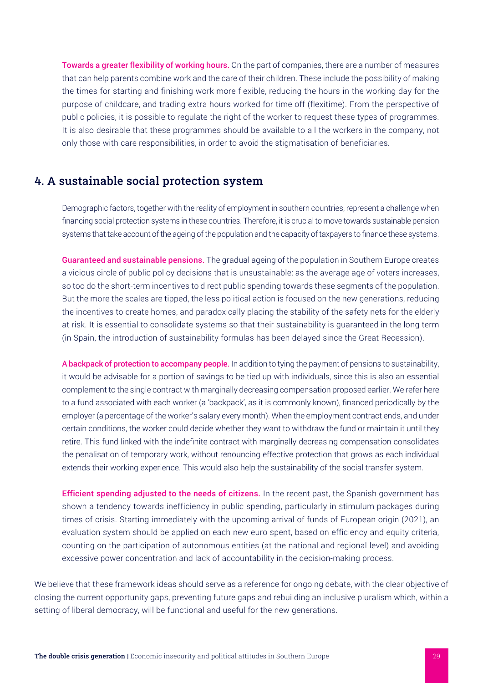Towards a greater flexibility of working hours. On the part of companies, there are a number of measures that can help parents combine work and the care of their children. These include the possibility of making the times for starting and finishing work more flexible, reducing the hours in the working day for the purpose of childcare, and trading extra hours worked for time off (flexitime). From the perspective of public policies, it is possible to regulate the right of the worker to request these types of programmes. It is also desirable that these programmes should be available to all the workers in the company, not only those with care responsibilities, in order to avoid the stigmatisation of beneficiaries.

### 4. A sustainable social protection system

Demographic factors, together with the reality of employment in southern countries, represent a challenge when financing social protection systems in these countries. Therefore, it is crucial to move towards sustainable pension systems that take account of the ageing of the population and the capacity of taxpayers to finance these systems.

Guaranteed and sustainable pensions. The gradual ageing of the population in Southern Europe creates a vicious circle of public policy decisions that is unsustainable: as the average age of voters increases, so too do the short-term incentives to direct public spending towards these segments of the population. But the more the scales are tipped, the less political action is focused on the new generations, reducing the incentives to create homes, and paradoxically placing the stability of the safety nets for the elderly at risk. It is essential to consolidate systems so that their sustainability is guaranteed in the long term (in Spain, the introduction of sustainability formulas has been delayed since the Great Recession).

A backpack of protection to accompany people. In addition to tying the payment of pensions to sustainability, it would be advisable for a portion of savings to be tied up with individuals, since this is also an essential complement to the single contract with marginally decreasing compensation proposed earlier. We refer here to a fund associated with each worker (a 'backpack', as it is commonly known), financed periodically by the employer (a percentage of the worker's salary every month). When the employment contract ends, and under certain conditions, the worker could decide whether they want to withdraw the fund or maintain it until they retire. This fund linked with the indefinite contract with marginally decreasing compensation consolidates the penalisation of temporary work, without renouncing effective protection that grows as each individual extends their working experience. This would also help the sustainability of the social transfer system.

**Efficient spending adjusted to the needs of citizens.** In the recent past, the Spanish government has shown a tendency towards inefficiency in public spending, particularly in stimulum packages during times of crisis. Starting immediately with the upcoming arrival of funds of European origin (2021), an evaluation system should be applied on each new euro spent, based on efficiency and equity criteria, counting on the participation of autonomous entities (at the national and regional level) and avoiding excessive power concentration and lack of accountability in the decision-making process.

We believe that these framework ideas should serve as a reference for ongoing debate, with the clear objective of closing the current opportunity gaps, preventing future gaps and rebuilding an inclusive pluralism which, within a setting of liberal democracy, will be functional and useful for the new generations.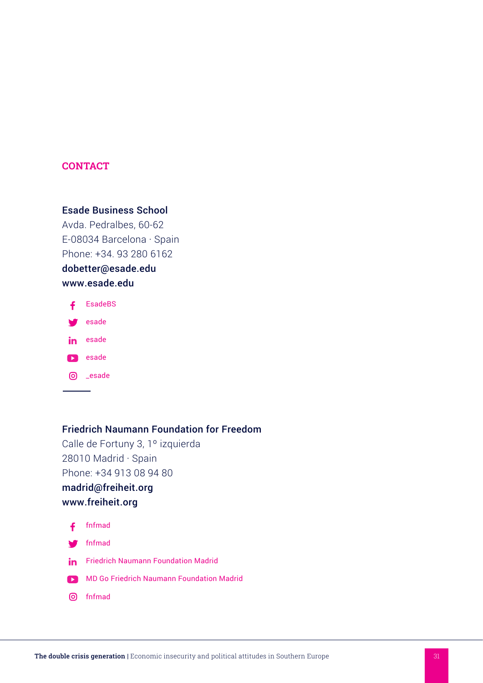### **CONTACT**

### Esade Business School

Avda. Pedralbes, 60-62 E-08034 Barcelona · Spain Phone: +34. 93 280 6162

dobetter@esade.edu www.esade.edu



#### Friedrich Naumann Foundation for Freedom

Calle de Fortuny 3, 1º izquierda 28010 Madrid · Spain Phone: +34 913 08 94 80 madrid@freiheit.org

## www.freiheit.org